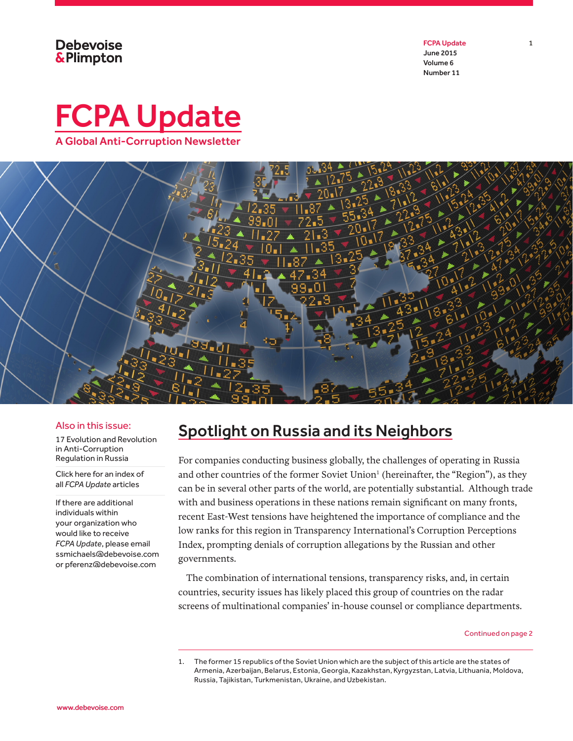**Debevoise &Plimpton**  FCPA Update 1 June 2015 Volume 6 Number 11





### Also in this issue:

17 Evolution and Revolution in Anti-Corruption Regulation in Russia

[Click here for an](http://www.debevoise.com/~/media/email/documents/FCPA_Index.pdf) index of all *FCPA Update* articles

If there are additional individuals within your organization who would like to receive *FCPA Update*, please email ssmichaels@debevoise.com or pferenz@debevoise.com

## Spotlight on Russia and its Neighbors

For companies conducting business globally, the challenges of operating in Russia and other countries of the former Soviet Union<sup>1</sup> (hereinafter, the "Region"), as they can be in several other parts of the world, are potentially substantial. Although trade with and business operations in these nations remain significant on many fronts, recent East-West tensions have heightened the importance of compliance and the low ranks for this region in Transparency International's Corruption Perceptions Index, prompting denials of corruption allegations by the Russian and other governments.

The combination of international tensions, transparency risks, and, in certain countries, security issues has likely placed this group of countries on the radar screens of multinational companies' in-house counsel or compliance departments.

<sup>1.</sup> The former 15 republics of the Soviet Union which are the subject of this article are the states of Armenia, Azerbaijan, Belarus, Estonia, Georgia, Kazakhstan, Kyrgyzstan, Latvia, Lithuania, Moldova, Russia, Tajikistan, Turkmenistan, Ukraine, and Uzbekistan.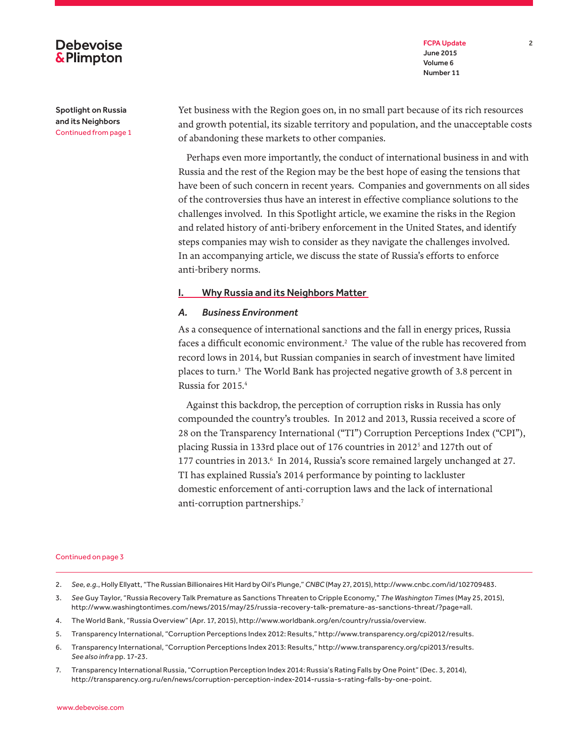FCPA Update 2 June 2015 Volume 6 Number 11

Spotlight on Russia and its Neighbors Continued from page 1

**Debevoise &Plimpton** 

> Yet business with the Region goes on, in no small part because of its rich resources and growth potential, its sizable territory and population, and the unacceptable costs of abandoning these markets to other companies.

> Perhaps even more importantly, the conduct of international business in and with Russia and the rest of the Region may be the best hope of easing the tensions that have been of such concern in recent years. Companies and governments on all sides of the controversies thus have an interest in effective compliance solutions to the challenges involved. In this Spotlight article, we examine the risks in the Region and related history of anti-bribery enforcement in the United States, and identify steps companies may wish to consider as they navigate the challenges involved. In an accompanying article, we discuss the state of Russia's efforts to enforce anti-bribery norms.

### **I. Why Russia and its Neighbors Matter**

### *A. Business Environment*

As a consequence of international sanctions and the fall in energy prices, Russia faces a difficult economic environment. $^2$  The value of the ruble has recovered from record lows in 2014, but Russian companies in search of investment have limited places to turn.3 The World Bank has projected negative growth of 3.8 percent in Russia for 2015.4

Against this backdrop, the perception of corruption risks in Russia has only compounded the country's troubles. In 2012 and 2013, Russia received a score of 28 on the Transparency International ("TI") Corruption Perceptions Index ("CPI"), placing Russia in 133rd place out of 176 countries in 2012<sup>5</sup> and 127th out of 177 countries in 2013.<sup>6</sup> In 2014, Russia's score remained largely unchanged at 27. TI has explained Russia's 2014 performance by pointing to lackluster domestic enforcement of anti-corruption laws and the lack of international anti-corruption partnerships.7

- 2. *See, e.g*., Holly Ellyatt, "The Russian Billionaires Hit Hard by Oil's Plunge," *CNBC* (May 27, 2015), http://www.cnbc.com/id/102709483.
- 3. *See* Guy Taylor, "Russia Recovery Talk Premature as Sanctions Threaten to Cripple Economy," *The Washington Times* (May 25, 2015), http://www.washingtontimes.com/news/2015/may/25/russia-recovery-talk-premature-as-sanctions-threat/?page=all.
- 4. The World Bank, "Russia Overview" (Apr. 17, 2015), http://www.worldbank.org/en/country/russia/overview.
- 5. Transparency International, "Corruption Perceptions Index 2012: Results," http://www.transparency.org/cpi2012/results.
- 6. Transparency International, "Corruption Perceptions Index 2013: Results," http://www.transparency.org/cpi2013/results. *See also infra* pp. 17-23.
- 7. Transparency International Russia, "Corruption Perception Index 2014: Russia's Rating Falls by One Point" (Dec. 3, 2014), http://transparency.org.ru/en/news/corruption-perception-index-2014-russia-s-rating-falls-by-one-point.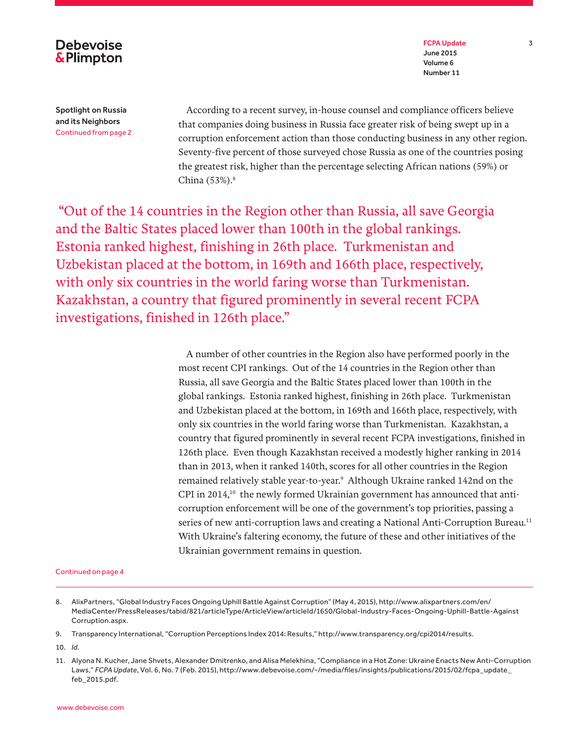

FCPA Update 3 June 2015 Volume 6 Number 11

Spotlight on Russia and its Neighbors Continued from page 2

According to a recent survey, in-house counsel and compliance officers believe that companies doing business in Russia face greater risk of being swept up in a corruption enforcement action than those conducting business in any other region. Seventy-five percent of those surveyed chose Russia as one of the countries posing the greatest risk, higher than the percentage selecting African nations (59%) or China (53%).<sup>8</sup>

 "Out of the 14 countries in the Region other than Russia, all save Georgia and the Baltic States placed lower than 100th in the global rankings. Estonia ranked highest, finishing in 26th place. Turkmenistan and Uzbekistan placed at the bottom, in 169th and 166th place, respectively, with only six countries in the world faring worse than Turkmenistan. Kazakhstan, a country that figured prominently in several recent FCPA investigations, finished in 126th place."

> A number of other countries in the Region also have performed poorly in the most recent CPI rankings. Out of the 14 countries in the Region other than Russia, all save Georgia and the Baltic States placed lower than 100th in the global rankings. Estonia ranked highest, finishing in 26th place. Turkmenistan and Uzbekistan placed at the bottom, in 169th and 166th place, respectively, with only six countries in the world faring worse than Turkmenistan. Kazakhstan, a country that figured prominently in several recent FCPA investigations, finished in 126th place. Even though Kazakhstan received a modestly higher ranking in 2014 than in 2013, when it ranked 140th, scores for all other countries in the Region remained relatively stable year-to-year.9 Although Ukraine ranked 142nd on the CPI in  $2014$ ,<sup>10</sup> the newly formed Ukrainian government has announced that anticorruption enforcement will be one of the government's top priorities, passing a series of new anti-corruption laws and creating a National Anti-Corruption Bureau.<sup>11</sup> With Ukraine's faltering economy, the future of these and other initiatives of the Ukrainian government remains in question.

<sup>8.</sup> AlixPartners, "Global Industry Faces Ongoing Uphill Battle Against Corruption" (May 4, 2015), http://www.alixpartners.com/en/ MediaCenter/PressReleases/tabid/821/articleType/ArticleView/articleId/1650/Global-Industry-Faces-Ongoing-Uphill-Battle-Against Corruption.aspx.

<sup>9.</sup> Transparency International, "Corruption Perceptions Index 2014: Results," http://www.transparency.org/cpi2014/results.

<sup>10.</sup> *Id*.

<sup>11.</sup> Alyona N. Kucher, Jane Shvets, Alexander Dmitrenko, and Alisa Melekhina, "Compliance in a Hot Zone: Ukraine Enacts New Anti-Corruption Laws," *FCPA Update*, Vol. 6, No. 7 (Feb. 2015), http://www.debevoise.com/~/media/files/insights/publications/2015/02/fcpa\_update\_ feb\_2015.pdf.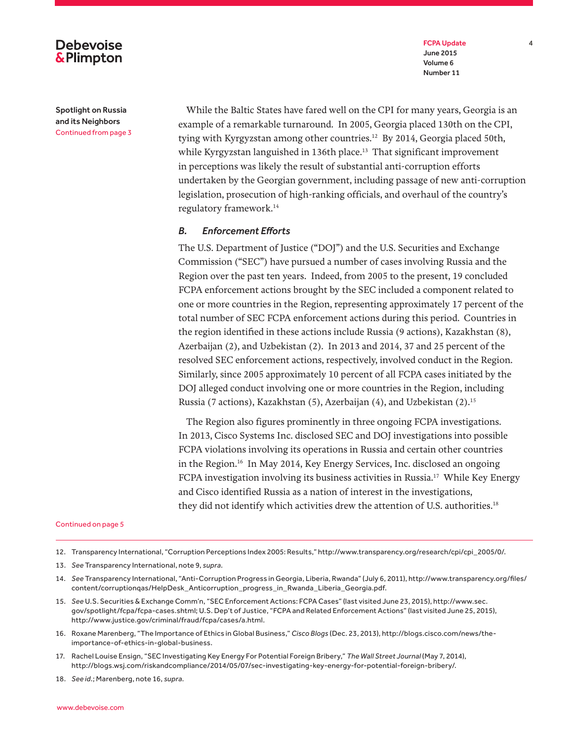FCPA Update 4 June 2015 Volume 6 Number 11

## **Debevoise &Plimpton**

Spotlight on Russia and its Neighbors Continued from page 3

While the Baltic States have fared well on the CPI for many years, Georgia is an example of a remarkable turnaround. In 2005, Georgia placed 130th on the CPI, tying with Kyrgyzstan among other countries.12 By 2014, Georgia placed 50th, while Kyrgyzstan languished in 136th place.<sup>13</sup> That significant improvement in perceptions was likely the result of substantial anti-corruption efforts undertaken by the Georgian government, including passage of new anti-corruption legislation, prosecution of high-ranking officials, and overhaul of the country's regulatory framework.14

### *B. Enforcement Efforts*

The U.S. Department of Justice ("DOJ") and the U.S. Securities and Exchange Commission ("SEC") have pursued a number of cases involving Russia and the Region over the past ten years. Indeed, from 2005 to the present, 19 concluded FCPA enforcement actions brought by the SEC included a component related to one or more countries in the Region, representing approximately 17 percent of the total number of SEC FCPA enforcement actions during this period. Countries in the region identified in these actions include Russia (9 actions), Kazakhstan (8), Azerbaijan (2), and Uzbekistan (2). In 2013 and 2014, 37 and 25 percent of the resolved SEC enforcement actions, respectively, involved conduct in the Region. Similarly, since 2005 approximately 10 percent of all FCPA cases initiated by the DOJ alleged conduct involving one or more countries in the Region, including Russia (7 actions), Kazakhstan (5), Azerbaijan (4), and Uzbekistan (2).15

The Region also figures prominently in three ongoing FCPA investigations. In 2013, Cisco Systems Inc. disclosed SEC and DOJ investigations into possible FCPA violations involving its operations in Russia and certain other countries in the Region.16 In May 2014, Key Energy Services, Inc. disclosed an ongoing FCPA investigation involving its business activities in Russia.17 While Key Energy and Cisco identified Russia as a nation of interest in the investigations, they did not identify which activities drew the attention of U.S. authorities.<sup>18</sup>

### Continued on page 5

- 13. *See* Transparency International, note 9, *supra*.
- 14. *See* Transparency International, "Anti-Corruption Progress in Georgia, Liberia, Rwanda" (July 6, 2011), http://www.transparency.org/files/ content/corruptionqas/HelpDesk\_Anticorruption\_progress\_in\_Rwanda\_Liberia\_Georgia.pdf.
- 15. *See* U.S. Securities & Exchange Comm'n, "SEC Enforcement Actions: FCPA Cases" (last visited June 23, 2015), http://www.sec. gov/spotlight/fcpa/fcpa-cases.shtml; U.S. Dep't of Justice, "FCPA and Related Enforcement Actions" (last visited June 25, 2015), http://www.justice.gov/criminal/fraud/fcpa/cases/a.html.
- 16. Roxane Marenberg, "The Importance of Ethics in Global Business," *Cisco Blogs* (Dec. 23, 2013), http://blogs.cisco.com/news/theimportance-of-ethics-in-global-business.
- 17. Rachel Louise Ensign, "SEC Investigating Key Energy For Potential Foreign Bribery," *The Wall Street Journal* (May 7, 2014), http://blogs.wsj.com/riskandcompliance/2014/05/07/sec-investigating-key-energy-for-potential-foreign-bribery/.

18. *See id*.; Marenberg, note 16, *supra*.

<sup>12.</sup> Transparency International, "Corruption Perceptions Index 2005: Results," http://www.transparency.org/research/cpi/cpi\_2005/0/.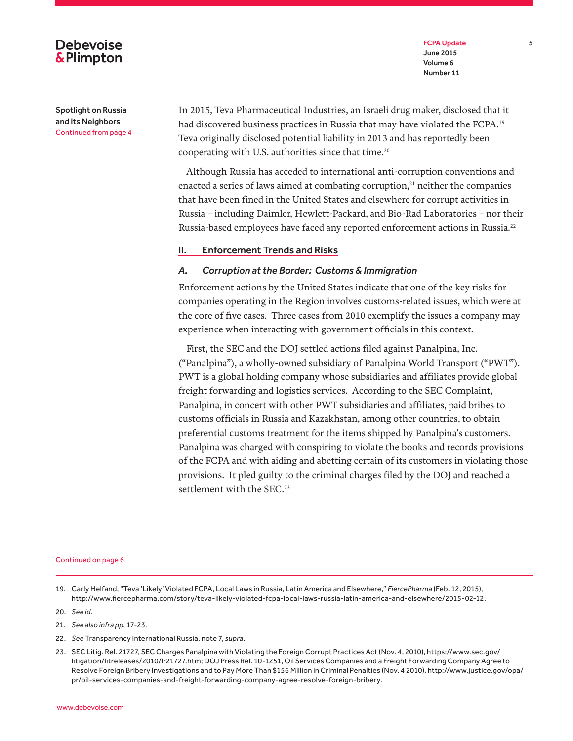### FCPA Update 5 June 2015 Volume 6 Number 11

Spotlight on Russia and its Neighbors Continued from page 4

**Debevoise &Plimpton** 

> In 2015, Teva Pharmaceutical Industries, an Israeli drug maker, disclosed that it had discovered business practices in Russia that may have violated the FCPA.<sup>19</sup> Teva originally disclosed potential liability in 2013 and has reportedly been cooperating with U.S. authorities since that time.<sup>20</sup>

Although Russia has acceded to international anti-corruption conventions and enacted a series of laws aimed at combating corruption, $21$  neither the companies that have been fined in the United States and elsewhere for corrupt activities in Russia – including Daimler, Hewlett-Packard, and Bio-Rad Laboratories – nor their Russia-based employees have faced any reported enforcement actions in Russia.22

### II. Enforcement Trends and Risks

### *A. Corruption at the Border: Customs & Immigration*

Enforcement actions by the United States indicate that one of the key risks for companies operating in the Region involves customs-related issues, which were at the core of five cases. Three cases from 2010 exemplify the issues a company may experience when interacting with government officials in this context.

First, the SEC and the DOJ settled actions filed against Panalpina, Inc. ("Panalpina"), a wholly-owned subsidiary of Panalpina World Transport ("PWT"). PWT is a global holding company whose subsidiaries and affiliates provide global freight forwarding and logistics services. According to the SEC Complaint, Panalpina, in concert with other PWT subsidiaries and affiliates, paid bribes to customs officials in Russia and Kazakhstan, among other countries, to obtain preferential customs treatment for the items shipped by Panalpina's customers. Panalpina was charged with conspiring to violate the books and records provisions of the FCPA and with aiding and abetting certain of its customers in violating those provisions. It pled guilty to the criminal charges filed by the DOJ and reached a settlement with the SEC.<sup>23</sup>

### Continued on page 6

20. *See id*.

- 21. *See also infra pp.* 17-23*.*
- 22. *See* Transparency International Russia, note 7, *supra*.
- 23. SEC Litig. Rel. 21727, SEC Charges Panalpina with Violating the Foreign Corrupt Practices Act (Nov. 4, 2010), https://www.sec.gov/ litigation/litreleases/2010/lr21727.htm; DOJ Press Rel. 10-1251, Oil Services Companies and a Freight Forwarding Company Agree to Resolve Foreign Bribery Investigations and to Pay More Than \$156 Million in Criminal Penalties (Nov. 4 2010), http://www.justice.gov/opa/ pr/oil-services-companies-and-freight-forwarding-company-agree-resolve-foreign-bribery.

<sup>19.</sup> Carly Helfand, "Teva 'Likely' Violated FCPA, Local Laws in Russia, Latin America and Elsewhere," *FiercePharma* (Feb. 12, 2015), http://www.fiercepharma.com/story/teva-likely-violated-fcpa-local-laws-russia-latin-america-and-elsewhere/2015-02-12.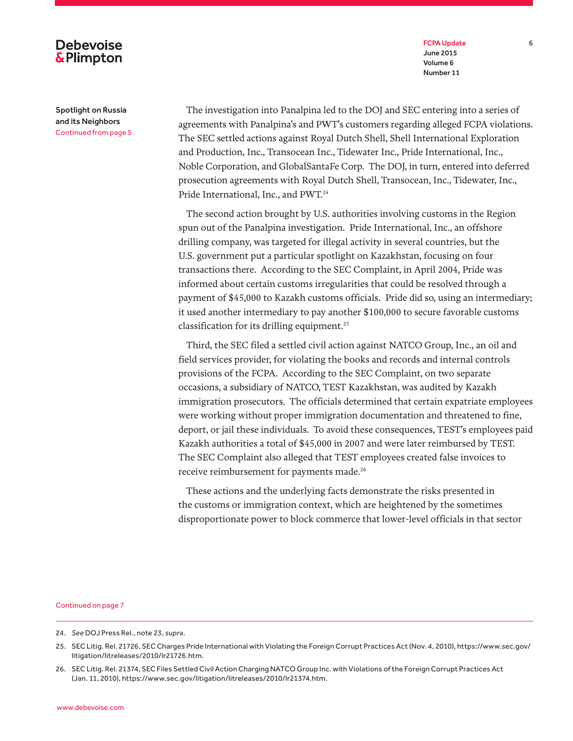FCPA Update 6 June 2015 Volume 6 Number 11

## **Debevoise &Plimpton**

Spotlight on Russia and its Neighbors Continued from page 5

The investigation into Panalpina led to the DOJ and SEC entering into a series of agreements with Panalpina's and PWT's customers regarding alleged FCPA violations. The SEC settled actions against Royal Dutch Shell, Shell International Exploration and Production, Inc., Transocean Inc., Tidewater Inc., Pride International, Inc., Noble Corporation, and GlobalSantaFe Corp. The DOJ, in turn, entered into deferred prosecution agreements with Royal Dutch Shell, Transocean, Inc., Tidewater, Inc., Pride International, Inc., and PWT.24

The second action brought by U.S. authorities involving customs in the Region spun out of the Panalpina investigation. Pride International, Inc., an offshore drilling company, was targeted for illegal activity in several countries, but the U.S. government put a particular spotlight on Kazakhstan, focusing on four transactions there. According to the SEC Complaint, in April 2004, Pride was informed about certain customs irregularities that could be resolved through a payment of \$45,000 to Kazakh customs officials. Pride did so, using an intermediary; it used another intermediary to pay another \$100,000 to secure favorable customs classification for its drilling equipment.25

Third, the SEC filed a settled civil action against NATCO Group, Inc., an oil and field services provider, for violating the books and records and internal controls provisions of the FCPA. According to the SEC Complaint, on two separate occasions, a subsidiary of NATCO, TEST Kazakhstan, was audited by Kazakh immigration prosecutors. The officials determined that certain expatriate employees were working without proper immigration documentation and threatened to fine, deport, or jail these individuals. To avoid these consequences, TEST's employees paid Kazakh authorities a total of \$45,000 in 2007 and were later reimbursed by TEST. The SEC Complaint also alleged that TEST employees created false invoices to receive reimbursement for payments made.<sup>26</sup>

These actions and the underlying facts demonstrate the risks presented in the customs or immigration context, which are heightened by the sometimes disproportionate power to block commerce that lower-level officials in that sector

<sup>24.</sup> *See* DOJ Press Rel., note 23, *supra*.

<sup>25.</sup> SEC Litig. Rel. 21726, SEC Charges Pride International with Violating the Foreign Corrupt Practices Act (Nov. 4, 2010), https://www.sec.gov/ litigation/litreleases/2010/lr21726.htm.

<sup>26.</sup> SEC Litig. Rel. 21374, SEC Files Settled Civil Action Charging NATCO Group Inc. with Violations of the Foreign Corrupt Practices Act (Jan. 11, 2010), https://www.sec.gov/litigation/litreleases/2010/lr21374.htm.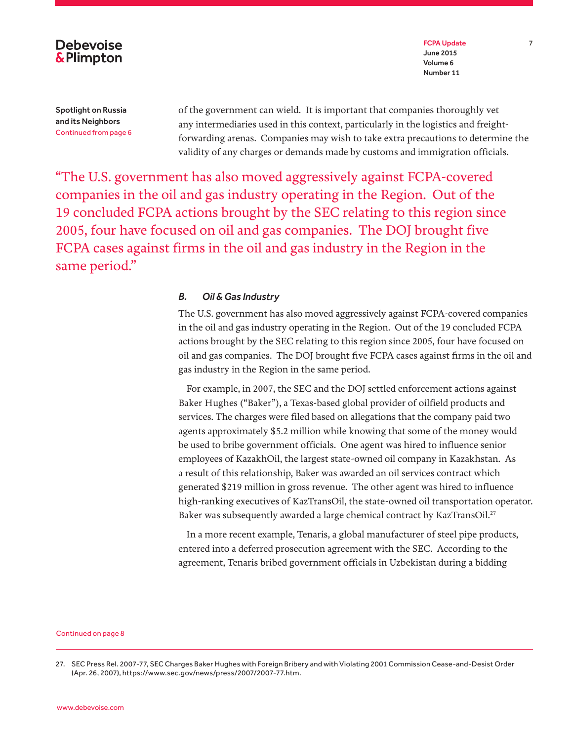

FCPA Update 7 June 2015 Volume 6 Number 11

Spotlight on Russia and its Neighbors Continued from page 6 of the government can wield. It is important that companies thoroughly vet any intermediaries used in this context, particularly in the logistics and freightforwarding arenas. Companies may wish to take extra precautions to determine the validity of any charges or demands made by customs and immigration officials.

"The U.S. government has also moved aggressively against FCPA-covered companies in the oil and gas industry operating in the Region. Out of the 19 concluded FCPA actions brought by the SEC relating to this region since 2005, four have focused on oil and gas companies. The DOJ brought five FCPA cases against firms in the oil and gas industry in the Region in the same period."

### *B. Oil & Gas Industry*

The U.S. government has also moved aggressively against FCPA-covered companies in the oil and gas industry operating in the Region. Out of the 19 concluded FCPA actions brought by the SEC relating to this region since 2005, four have focused on oil and gas companies. The DOJ brought five FCPA cases against firms in the oil and gas industry in the Region in the same period.

For example, in 2007, the SEC and the DOJ settled enforcement actions against Baker Hughes ("Baker"), a Texas-based global provider of oilfield products and services. The charges were filed based on allegations that the company paid two agents approximately \$5.2 million while knowing that some of the money would be used to bribe government officials. One agent was hired to influence senior employees of KazakhOil, the largest state-owned oil company in Kazakhstan. As a result of this relationship, Baker was awarded an oil services contract which generated \$219 million in gross revenue. The other agent was hired to influence high-ranking executives of KazTransOil, the state-owned oil transportation operator. Baker was subsequently awarded a large chemical contract by KazTransOil.<sup>27</sup>

In a more recent example, Tenaris, a global manufacturer of steel pipe products, entered into a deferred prosecution agreement with the SEC. According to the agreement, Tenaris bribed government officials in Uzbekistan during a bidding

<sup>27.</sup> SEC Press Rel. 2007-77, SEC Charges Baker Hughes with Foreign Bribery and with Violating 2001 Commission Cease-and-Desist Order (Apr. 26, 2007), https://www.sec.gov/news/press/2007/2007-77.htm.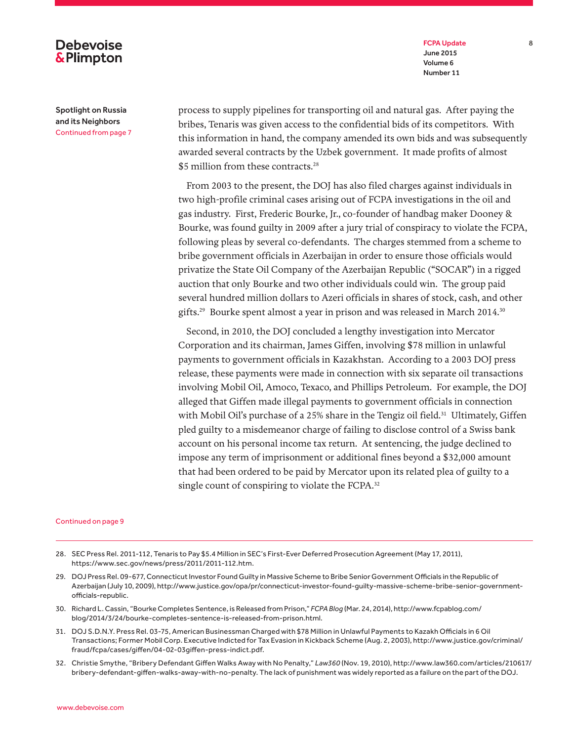### FCPA Update 8 June 2015 Volume 6 Number 11

### Spotlight on Russia and its Neighbors Continued from page 7

**Debevoise &Plimpton** 

> process to supply pipelines for transporting oil and natural gas. After paying the bribes, Tenaris was given access to the confidential bids of its competitors. With this information in hand, the company amended its own bids and was subsequently awarded several contracts by the Uzbek government. It made profits of almost \$5 million from these contracts.<sup>28</sup>

> From 2003 to the present, the DOJ has also filed charges against individuals in two high-profile criminal cases arising out of FCPA investigations in the oil and gas industry. First, Frederic Bourke, Jr., co-founder of handbag maker Dooney & Bourke, was found guilty in 2009 after a jury trial of conspiracy to violate the FCPA, following pleas by several co-defendants. The charges stemmed from a scheme to bribe government officials in Azerbaijan in order to ensure those officials would privatize the State Oil Company of the Azerbaijan Republic ("SOCAR") in a rigged auction that only Bourke and two other individuals could win. The group paid several hundred million dollars to Azeri officials in shares of stock, cash, and other gifts.<sup>29</sup> Bourke spent almost a year in prison and was released in March 2014.<sup>30</sup>

> Second, in 2010, the DOJ concluded a lengthy investigation into Mercator Corporation and its chairman, James Giffen, involving \$78 million in unlawful payments to government officials in Kazakhstan. According to a 2003 DOJ press release, these payments were made in connection with six separate oil transactions involving Mobil Oil, Amoco, Texaco, and Phillips Petroleum. For example, the DOJ alleged that Giffen made illegal payments to government officials in connection with Mobil Oil's purchase of a 25% share in the Tengiz oil field.<sup>31</sup> Ultimately, Giffen pled guilty to a misdemeanor charge of failing to disclose control of a Swiss bank account on his personal income tax return. At sentencing, the judge declined to impose any term of imprisonment or additional fines beyond a \$32,000 amount that had been ordered to be paid by Mercator upon its related plea of guilty to a single count of conspiring to violate the FCPA.<sup>32</sup>

- 28. SEC Press Rel. 2011-112, Tenaris to Pay \$5.4 Million in SEC's First-Ever Deferred Prosecution Agreement (May 17, 2011), https://www.sec.gov/news/press/2011/2011-112.htm.
- 29. DOJ Press Rel. 09-677, Connecticut Investor Found Guilty in Massive Scheme to Bribe Senior Government Officials in the Republic of Azerbaijan (July 10, 2009), http://www.justice.gov/opa/pr/connecticut-investor-found-guilty-massive-scheme-bribe-senior-governmentofficials-republic.
- 30. Richard L. Cassin, "Bourke Completes Sentence, is Released from Prison," *FCPA Blog* (Mar. 24, 2014), http://www.fcpablog.com/ blog/2014/3/24/bourke-completes-sentence-is-released-from-prison.html.
- 31. DOJ S.D.N.Y. Press Rel. 03-75, American Businessman Charged with \$78 Million in Unlawful Payments to Kazakh Officials in 6 Oil Transactions; Former Mobil Corp. Executive Indicted for Tax Evasion in Kickback Scheme (Aug. 2, 2003), http://www.justice.gov/criminal/ fraud/fcpa/cases/giffen/04-02-03giffen-press-indict.pdf.
- 32. Christie Smythe, "Bribery Defendant Giffen Walks Away with No Penalty," *Law360* (Nov. 19, 2010), http://www.law360.com/articles/210617/ bribery-defendant-giffen-walks-away-with-no-penalty. The lack of punishment was widely reported as a failure on the part of the DOJ.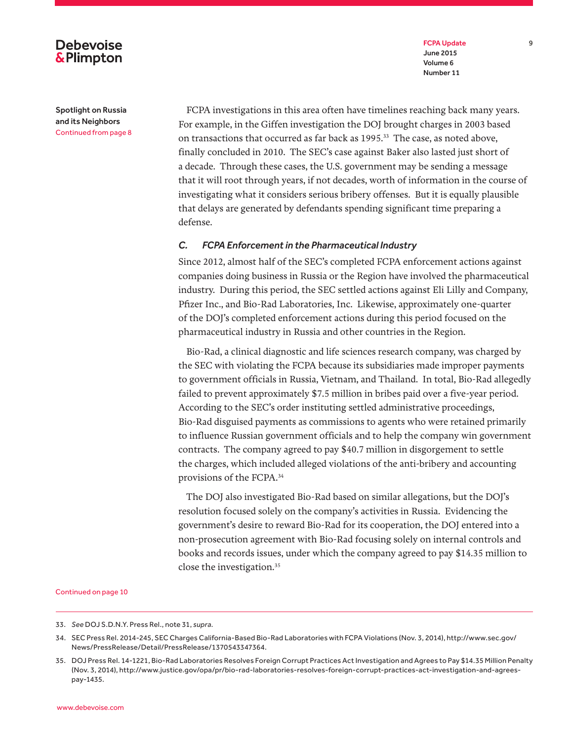FCPA Update 9 June 2015 Volume 6 Number 11

## **Debevoise &Plimpton**

Spotlight on Russia and its Neighbors Continued from page 8

FCPA investigations in this area often have timelines reaching back many years. For example, in the Giffen investigation the DOJ brought charges in 2003 based on transactions that occurred as far back as 1995.<sup>33</sup> The case, as noted above, finally concluded in 2010. The SEC's case against Baker also lasted just short of a decade. Through these cases, the U.S. government may be sending a message that it will root through years, if not decades, worth of information in the course of investigating what it considers serious bribery offenses. But it is equally plausible that delays are generated by defendants spending significant time preparing a defense.

### *C. FCPA Enforcement in the Pharmaceutical Industry*

Since 2012, almost half of the SEC's completed FCPA enforcement actions against companies doing business in Russia or the Region have involved the pharmaceutical industry. During this period, the SEC settled actions against Eli Lilly and Company, Pfizer Inc., and Bio-Rad Laboratories, Inc. Likewise, approximately one-quarter of the DOJ's completed enforcement actions during this period focused on the pharmaceutical industry in Russia and other countries in the Region.

Bio-Rad, a clinical diagnostic and life sciences research company, was charged by the SEC with violating the FCPA because its subsidiaries made improper payments to government officials in Russia, Vietnam, and Thailand. In total, Bio-Rad allegedly failed to prevent approximately \$7.5 million in bribes paid over a five-year period. According to the SEC's order instituting settled administrative proceedings, Bio-Rad disguised payments as commissions to agents who were retained primarily to influence Russian government officials and to help the company win government contracts. The company agreed to pay \$40.7 million in disgorgement to settle the charges, which included alleged violations of the anti-bribery and accounting provisions of the FCPA.34

The DOJ also investigated Bio-Rad based on similar allegations, but the DOJ's resolution focused solely on the company's activities in Russia. Evidencing the government's desire to reward Bio-Rad for its cooperation, the DOJ entered into a non-prosecution agreement with Bio-Rad focusing solely on internal controls and books and records issues, under which the company agreed to pay \$14.35 million to close the investigation.35

<sup>33.</sup> *See* DOJ S.D.N.Y. Press Rel., note 31, *supra*.

<sup>34.</sup> SEC Press Rel. 2014-245, SEC Charges California-Based Bio-Rad Laboratories with FCPA Violations (Nov. 3, 2014), http://www.sec.gov/ News/PressRelease/Detail/PressRelease/1370543347364.

<sup>35.</sup> DOJ Press Rel. 14-1221, Bio-Rad Laboratories Resolves Foreign Corrupt Practices Act Investigation and Agrees to Pay \$14.35 Million Penalty (Nov. 3, 2014), http://www.justice.gov/opa/pr/bio-rad-laboratories-resolves-foreign-corrupt-practices-act-investigation-and-agreespay-1435.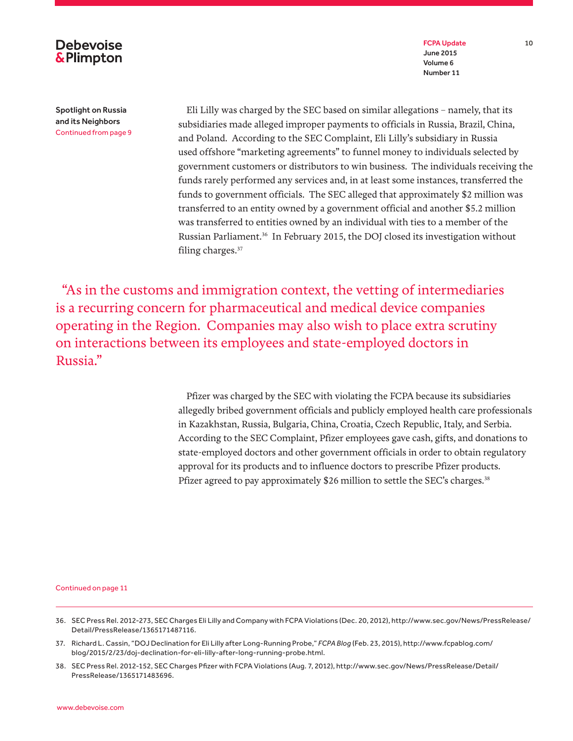

**Debevoise &Plimpton** 

Spotlight on Russia and its Neighbors Continued from page 9

Eli Lilly was charged by the SEC based on similar allegations – namely, that its subsidiaries made alleged improper payments to officials in Russia, Brazil, China, and Poland. According to the SEC Complaint, Eli Lilly's subsidiary in Russia used offshore "marketing agreements" to funnel money to individuals selected by government customers or distributors to win business. The individuals receiving the funds rarely performed any services and, in at least some instances, transferred the funds to government officials. The SEC alleged that approximately \$2 million was transferred to an entity owned by a government official and another \$5.2 million was transferred to entities owned by an individual with ties to a member of the Russian Parliament.36 In February 2015, the DOJ closed its investigation without filing charges.<sup>37</sup>

 "As in the customs and immigration context, the vetting of intermediaries is a recurring concern for pharmaceutical and medical device companies operating in the Region. Companies may also wish to place extra scrutiny on interactions between its employees and state-employed doctors in Russia."

> Pfizer was charged by the SEC with violating the FCPA because its subsidiaries allegedly bribed government officials and publicly employed health care professionals in Kazakhstan, Russia, Bulgaria, China, Croatia, Czech Republic, Italy, and Serbia. According to the SEC Complaint, Pfizer employees gave cash, gifts, and donations to state-employed doctors and other government officials in order to obtain regulatory approval for its products and to influence doctors to prescribe Pfizer products. Pfizer agreed to pay approximately \$26 million to settle the SEC's charges.<sup>38</sup>

- 36. SEC Press Rel. 2012-273, SEC Charges Eli Lilly and Company with FCPA Violations (Dec. 20, 2012), http://www.sec.gov/News/PressRelease/ Detail/PressRelease/1365171487116.
- 37. Richard L. Cassin, "DOJ Declination for Eli Lilly after Long-Running Probe," *FCPA Blog* (Feb. 23, 2015), http://www.fcpablog.com/ blog/2015/2/23/doj-declination-for-eli-lilly-after-long-running-probe.html.
- 38. SEC Press Rel. 2012-152, SEC Charges Pfizer with FCPA Violations (Aug. 7, 2012), http://www.sec.gov/News/PressRelease/Detail/ PressRelease/1365171483696.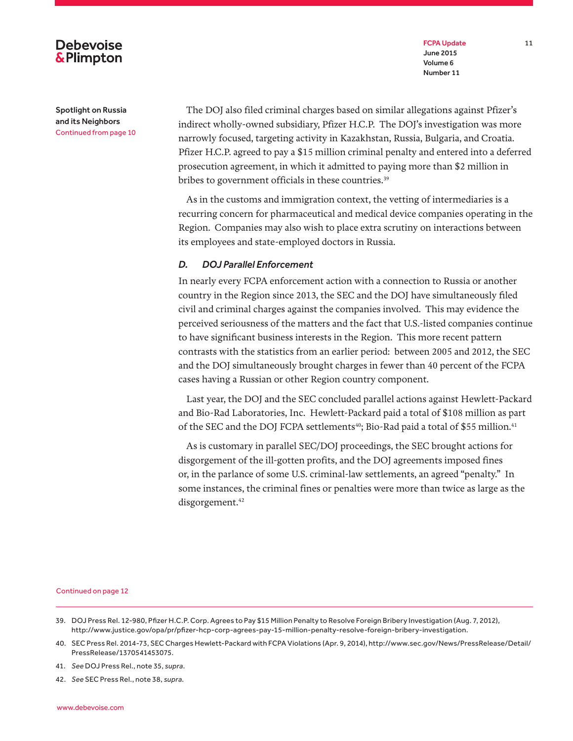### FCPA Update 11 June 2015 Volume 6 Number 11

Spotlight on Russia and its Neighbors

**Debevoise &Plimpton** 

Continued from page 10

The DOJ also filed criminal charges based on similar allegations against Pfizer's indirect wholly-owned subsidiary, Pfizer H.C.P. The DOJ's investigation was more narrowly focused, targeting activity in Kazakhstan, Russia, Bulgaria, and Croatia. Pfizer H.C.P. agreed to pay a \$15 million criminal penalty and entered into a deferred prosecution agreement, in which it admitted to paying more than \$2 million in bribes to government officials in these countries.<sup>39</sup>

As in the customs and immigration context, the vetting of intermediaries is a recurring concern for pharmaceutical and medical device companies operating in the Region. Companies may also wish to place extra scrutiny on interactions between its employees and state-employed doctors in Russia.

### *D. DOJ Parallel Enforcement*

In nearly every FCPA enforcement action with a connection to Russia or another country in the Region since 2013, the SEC and the DOJ have simultaneously filed civil and criminal charges against the companies involved. This may evidence the perceived seriousness of the matters and the fact that U.S.-listed companies continue to have significant business interests in the Region. This more recent pattern contrasts with the statistics from an earlier period: between 2005 and 2012, the SEC and the DOJ simultaneously brought charges in fewer than 40 percent of the FCPA cases having a Russian or other Region country component.

Last year, the DOJ and the SEC concluded parallel actions against Hewlett-Packard and Bio-Rad Laboratories, Inc. Hewlett-Packard paid a total of \$108 million as part of the SEC and the DOJ FCPA settlements<sup>40</sup>; Bio-Rad paid a total of \$55 million.<sup>41</sup>

As is customary in parallel SEC/DOJ proceedings, the SEC brought actions for disgorgement of the ill-gotten profits, and the DOJ agreements imposed fines or, in the parlance of some U.S. criminal-law settlements, an agreed "penalty." In some instances, the criminal fines or penalties were more than twice as large as the disgorgement.<sup>42</sup>

- 39. DOJ Press Rel. 12-980, Pfizer H.C.P. Corp. Agrees to Pay \$15 Million Penalty to Resolve Foreign Bribery Investigation (Aug. 7, 2012), http://www.justice.gov/opa/pr/pfizer-hcp-corp-agrees-pay-15-million-penalty-resolve-foreign-bribery-investigation.
- 40. SEC Press Rel. 2014-73, SEC Charges Hewlett-Packard with FCPA Violations (Apr. 9, 2014), http://www.sec.gov/News/PressRelease/Detail/ PressRelease/1370541453075.
- 41. *See* DOJ Press Rel., note 35, *supra*.
- 42. *See* SEC Press Rel., note 38, *supra*.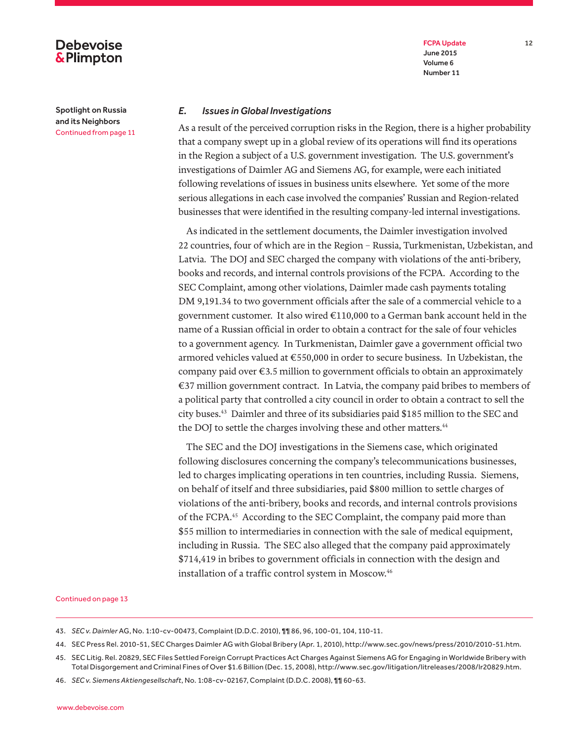## **Debevoise &Plimpton**

Spotlight on Russia and its Neighbors Continued from page 11

### FCPA Update 12 June 2015 Volume 6 Number 11

### *E. Issues in Global Investigations*

As a result of the perceived corruption risks in the Region, there is a higher probability that a company swept up in a global review of its operations will find its operations in the Region a subject of a U.S. government investigation. The U.S. government's investigations of Daimler AG and Siemens AG, for example, were each initiated following revelations of issues in business units elsewhere. Yet some of the more serious allegations in each case involved the companies' Russian and Region-related businesses that were identified in the resulting company-led internal investigations.

As indicated in the settlement documents, the Daimler investigation involved 22 countries, four of which are in the Region – Russia, Turkmenistan, Uzbekistan, and Latvia. The DOJ and SEC charged the company with violations of the anti-bribery, books and records, and internal controls provisions of the FCPA. According to the SEC Complaint, among other violations, Daimler made cash payments totaling DM 9,191.34 to two government officials after the sale of a commercial vehicle to a government customer. It also wired €110,000 to a German bank account held in the name of a Russian official in order to obtain a contract for the sale of four vehicles to a government agency. In Turkmenistan, Daimler gave a government official two armored vehicles valued at €550,000 in order to secure business. In Uzbekistan, the company paid over  $\epsilon$ 3.5 million to government officials to obtain an approximately €37 million government contract. In Latvia, the company paid bribes to members of a political party that controlled a city council in order to obtain a contract to sell the city buses.43 Daimler and three of its subsidiaries paid \$185 million to the SEC and the DOJ to settle the charges involving these and other matters.<sup>44</sup>

The SEC and the DOJ investigations in the Siemens case, which originated following disclosures concerning the company's telecommunications businesses, led to charges implicating operations in ten countries, including Russia. Siemens, on behalf of itself and three subsidiaries, paid \$800 million to settle charges of violations of the anti-bribery, books and records, and internal controls provisions of the FCPA.<sup>45</sup> According to the SEC Complaint, the company paid more than \$55 million to intermediaries in connection with the sale of medical equipment, including in Russia. The SEC also alleged that the company paid approximately \$714,419 in bribes to government officials in connection with the design and installation of a traffic control system in Moscow.<sup>46</sup>

- 43. *SEC v. Daimler* AG, No. 1:10-cv-00473, Complaint (D.D.C. 2010), ¶¶ 86, 96, 100-01, 104, 110-11.
- 44. SEC Press Rel. 2010-51, SEC Charges Daimler AG with Global Bribery (Apr. 1, 2010), http://www.sec.gov/news/press/2010/2010-51.htm.
- 45. SEC Litig. Rel. 20829, SEC Files Settled Foreign Corrupt Practices Act Charges Against Siemens AG for Engaging in Worldwide Bribery with Total Disgorgement and Criminal Fines of Over \$1.6 Billion (Dec. 15, 2008), http://www.sec.gov/litigation/litreleases/2008/lr20829.htm.
- 46. *SEC v. Siemens Aktiengesellschaft*, No. 1:08-cv-02167, Complaint (D.D.C. 2008), ¶¶ 60-63.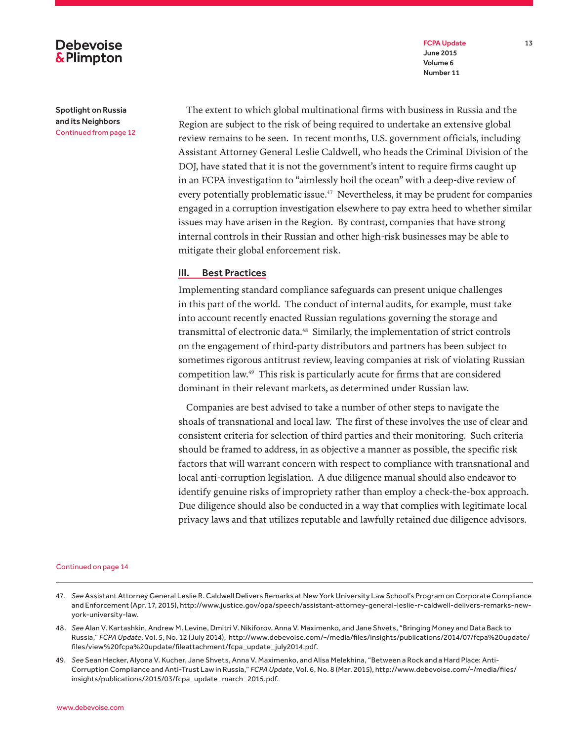FCPA Update 13 June 2015 Volume 6 Number 11

## **Debevoise &Plimpton**

Spotlight on Russia and its Neighbors Continued from page 12

The extent to which global multinational firms with business in Russia and the Region are subject to the risk of being required to undertake an extensive global review remains to be seen. In recent months, U.S. government officials, including Assistant Attorney General Leslie Caldwell, who heads the Criminal Division of the DOJ, have stated that it is not the government's intent to require firms caught up in an FCPA investigation to "aimlessly boil the ocean" with a deep-dive review of every potentially problematic issue.<sup>47</sup> Nevertheless, it may be prudent for companies engaged in a corruption investigation elsewhere to pay extra heed to whether similar issues may have arisen in the Region. By contrast, companies that have strong internal controls in their Russian and other high-risk businesses may be able to mitigate their global enforcement risk.

### III. Best Practices

Implementing standard compliance safeguards can present unique challenges in this part of the world. The conduct of internal audits, for example, must take into account recently enacted Russian regulations governing the storage and transmittal of electronic data.48 Similarly, the implementation of strict controls on the engagement of third-party distributors and partners has been subject to sometimes rigorous antitrust review, leaving companies at risk of violating Russian competition law.49 This risk is particularly acute for firms that are considered dominant in their relevant markets, as determined under Russian law.

Companies are best advised to take a number of other steps to navigate the shoals of transnational and local law. The first of these involves the use of clear and consistent criteria for selection of third parties and their monitoring. Such criteria should be framed to address, in as objective a manner as possible, the specific risk factors that will warrant concern with respect to compliance with transnational and local anti-corruption legislation. A due diligence manual should also endeavor to identify genuine risks of impropriety rather than employ a check-the-box approach. Due diligence should also be conducted in a way that complies with legitimate local privacy laws and that utilizes reputable and lawfully retained due diligence advisors.

- 47. *See* Assistant Attorney General Leslie R. Caldwell Delivers Remarks at New York University Law School's Program on Corporate Compliance and Enforcement (Apr. 17, 2015), http://www.justice.gov/opa/speech/assistant-attorney-general-leslie-r-caldwell-delivers-remarks-newyork-university-law.
- 48. *See* Alan V. Kartashkin, Andrew M. Levine, Dmitri V. Nikiforov, Anna V. Maximenko, and Jane Shvets, "Bringing Money and Data Back to Russia," *FCPA Update*, Vol. 5, No. 12 (July 2014), http://www.debevoise.com/~/media/files/insights/publications/2014/07/fcpa%20update/ files/view%20fcpa%20update/fileattachment/fcpa\_update\_july2014.pdf.
- 49. *See* Sean Hecker, Alyona V. Kucher, Jane Shvets, Anna V. Maximenko, and Alisa Melekhina, "Between a Rock and a Hard Place: Anti-Corruption Compliance and Anti-Trust Law in Russia," *FCPA Update*, Vol. 6, No. 8 (Mar. 2015), http://www.debevoise.com/~/media/files/ insights/publications/2015/03/fcpa\_update\_march\_2015.pdf.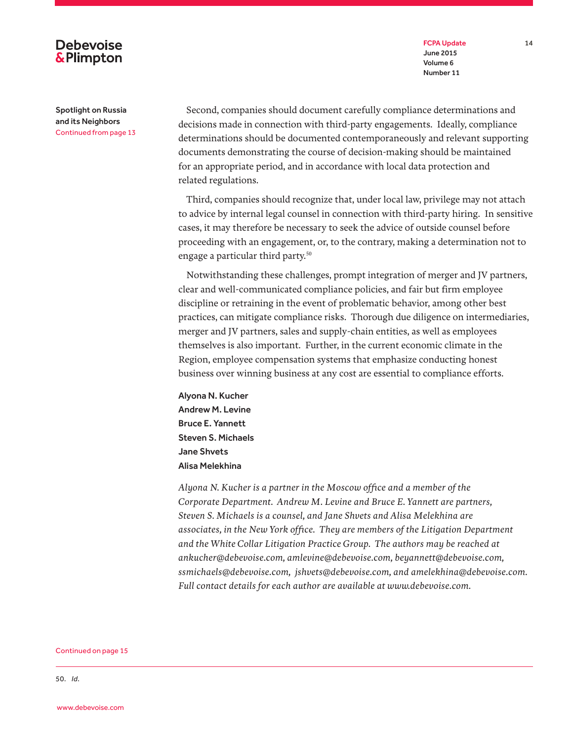FCPA Update 14 June 2015 Volume 6 Number 11

## **Debevoise &Plimpton**

Spotlight on Russia and its Neighbors Continued from page 13

Second, companies should document carefully compliance determinations and decisions made in connection with third-party engagements. Ideally, compliance determinations should be documented contemporaneously and relevant supporting documents demonstrating the course of decision-making should be maintained for an appropriate period, and in accordance with local data protection and related regulations.

Third, companies should recognize that, under local law, privilege may not attach to advice by internal legal counsel in connection with third-party hiring. In sensitive cases, it may therefore be necessary to seek the advice of outside counsel before proceeding with an engagement, or, to the contrary, making a determination not to engage a particular third party.<sup>50</sup>

Notwithstanding these challenges, prompt integration of merger and JV partners, clear and well-communicated compliance policies, and fair but firm employee discipline or retraining in the event of problematic behavior, among other best practices, can mitigate compliance risks. Thorough due diligence on intermediaries, merger and JV partners, sales and supply-chain entities, as well as employees themselves is also important. Further, in the current economic climate in the Region, employee compensation systems that emphasize conducting honest business over winning business at any cost are essential to compliance efforts.

Alyona N. Kucher Andrew M. Levine Bruce E. Yannett Steven S. Michaels Jane Shvets Alisa Melekhina

*Alyona N. Kucher is a partner in the Moscow office and a member of the Corporate Department. Andrew M. Levine and Bruce E. Yannett are partners, Steven S. Michaels is a counsel, and Jane Shvets and Alisa Melekhina are associates, in the New York office. They are members of the Litigation Department and the White Collar Litigation Practice Group. The authors may be reached at ankucher@debevoise.com, amlevine@debevoise.com, beyannett@debevoise.com, ssmichaels@debevoise.com, jshvets@debevoise.com, and amelekhina@debevoise.com. Full contact details for each author are available at www.debevoise.com.*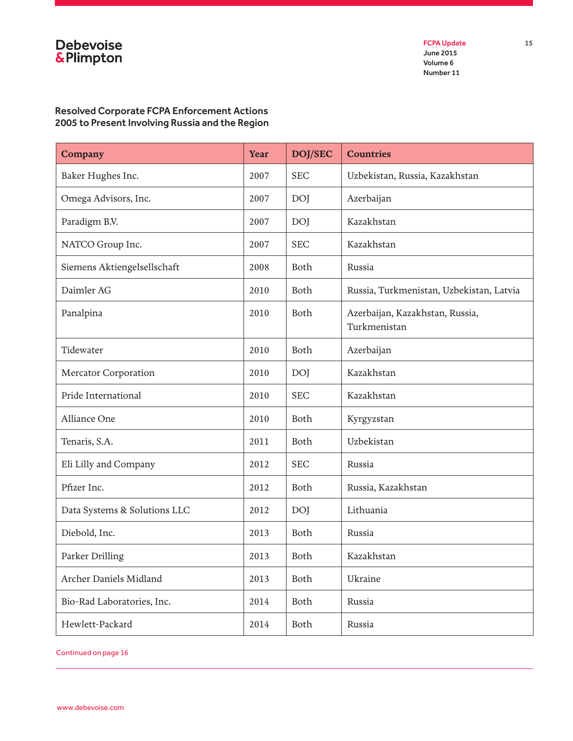# Debevoise<br>&Plimpton

FCPA Update 15 June 2015 Volume 6 Number 11

## Resolved Corporate FCPA Enforcement Actions 2005 to Present Involving Russia and the Region

| <b>Company</b>               | <b>Year</b> | DOJ/SEC     | <b>Countries</b>                                |  |
|------------------------------|-------------|-------------|-------------------------------------------------|--|
| Baker Hughes Inc.            | 2007        | <b>SEC</b>  | Uzbekistan, Russia, Kazakhstan                  |  |
| Omega Advisors, Inc.         | 2007        | <b>DOJ</b>  | Azerbaijan                                      |  |
| Paradigm B.V.                | 2007        | <b>DOJ</b>  | Kazakhstan                                      |  |
| NATCO Group Inc.             | 2007        | <b>SEC</b>  | Kazakhstan                                      |  |
| Siemens Aktiengelsellschaft  | 2008        | <b>Both</b> | Russia                                          |  |
| Daimler AG                   | 2010        | Both        | Russia, Turkmenistan, Uzbekistan, Latvia        |  |
| Panalpina                    | 2010        | Both        | Azerbaijan, Kazakhstan, Russia,<br>Turkmenistan |  |
| Tidewater                    | 2010        | <b>Both</b> | Azerbaijan                                      |  |
| <b>Mercator Corporation</b>  | 2010        | <b>DOJ</b>  | Kazakhstan                                      |  |
| Pride International          | 2010        | <b>SEC</b>  | Kazakhstan                                      |  |
| Alliance One                 | 2010        | <b>Both</b> | Kyrgyzstan                                      |  |
| Tenaris, S.A.                | 2011        | Both        | Uzbekistan                                      |  |
| Eli Lilly and Company        | 2012        | <b>SEC</b>  | Russia                                          |  |
| Pfizer Inc.                  | 2012        | Both        | Russia, Kazakhstan                              |  |
| Data Systems & Solutions LLC | 2012        | <b>DOJ</b>  | Lithuania                                       |  |
| Diebold, Inc.                | 2013        | Both        | Russia                                          |  |
| Parker Drilling              | 2013        | Both        | Kazakhstan                                      |  |
| Archer Daniels Midland       | 2013        | Both        | Ukraine                                         |  |
| Bio-Rad Laboratories, Inc.   | 2014        | Both        | Russia                                          |  |
| Hewlett-Packard              | 2014        | Both        | Russia                                          |  |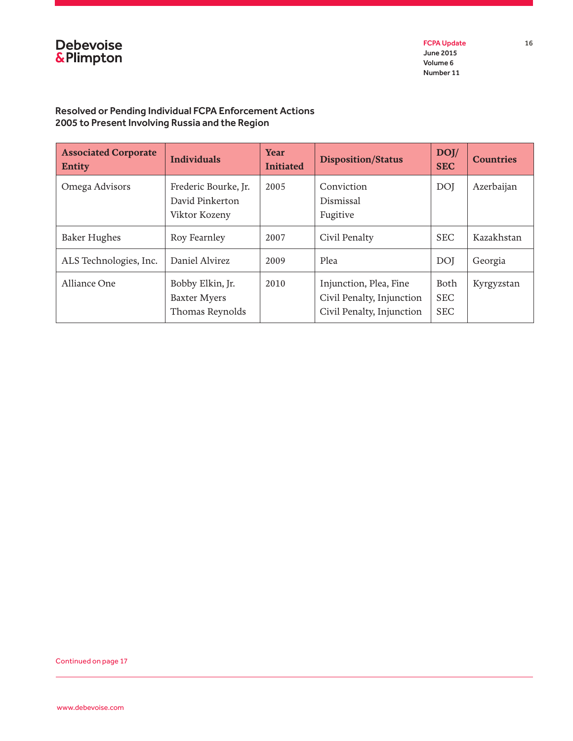

FCPA Update 16 June 2015 Volume 6 Number 11

## Resolved or Pending Individual FCPA Enforcement Actions 2005 to Present Involving Russia and the Region

| <b>Associated Corporate</b><br><b>Entity</b> | <b>Individuals</b>                                         | <b>Year</b><br><b>Initiated</b> | <b>Disposition/Status</b>                                                        | DOJ/<br><b>SEC</b>               | <b>Countries</b> |
|----------------------------------------------|------------------------------------------------------------|---------------------------------|----------------------------------------------------------------------------------|----------------------------------|------------------|
| Omega Advisors                               | Frederic Bourke, Jr.<br>David Pinkerton<br>Viktor Kozeny   | 2005                            | Conviction<br>Dismissal<br>Fugitive                                              | <b>DOI</b>                       | Azerbaijan       |
| <b>Baker Hughes</b>                          | Roy Fearnley                                               | 2007                            | Civil Penalty                                                                    | <b>SEC</b>                       | Kazakhstan       |
| ALS Technologies, Inc.                       | Daniel Alvirez                                             | 2009                            | Plea                                                                             | <b>DOI</b>                       | Georgia          |
| Alliance One                                 | Bobby Elkin, Jr.<br><b>Baxter Myers</b><br>Thomas Reynolds | 2010                            | Injunction, Plea, Fine<br>Civil Penalty, Injunction<br>Civil Penalty, Injunction | Both<br><b>SEC</b><br><b>SEC</b> | Kyrgyzstan       |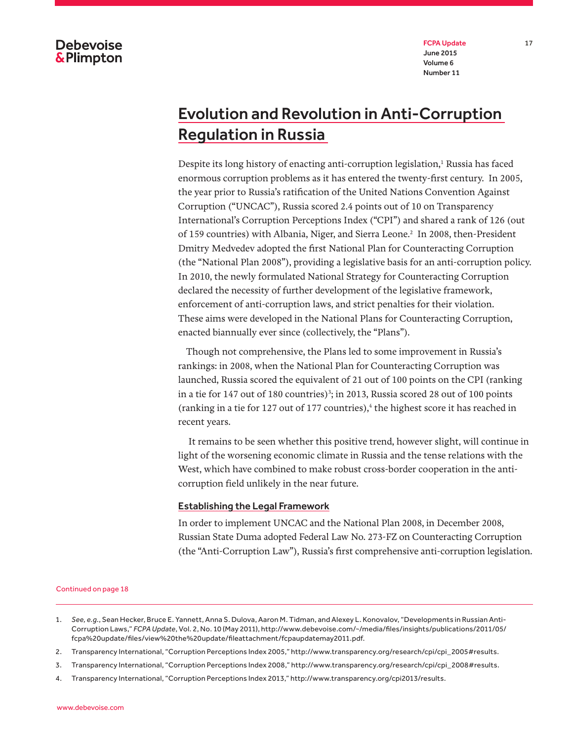FCPA Update 17 June 2015 Volume 6 Number 11

# Evolution and Revolution in Anti-Corruption Regulation in Russia

Despite its long history of enacting anti-corruption legislation,<sup>1</sup> Russia has faced enormous corruption problems as it has entered the twenty-first century. In 2005, the year prior to Russia's ratification of the United Nations Convention Against Corruption ("UNCAC"), Russia scored 2.4 points out of 10 on Transparency International's Corruption Perceptions Index ("CPI") and shared a rank of 126 (out of 159 countries) with Albania, Niger, and Sierra Leone.<sup>2</sup> In 2008, then-President Dmitry Medvedev adopted the first National Plan for Counteracting Corruption (the "National Plan 2008"), providing a legislative basis for an anti-corruption policy. In 2010, the newly formulated National Strategy for Counteracting Corruption declared the necessity of further development of the legislative framework, enforcement of anti-corruption laws, and strict penalties for their violation. These aims were developed in the National Plans for Counteracting Corruption, enacted biannually ever since (collectively, the "Plans").

Though not comprehensive, the Plans led to some improvement in Russia's rankings: in 2008, when the National Plan for Counteracting Corruption was launched, Russia scored the equivalent of 21 out of 100 points on the CPI (ranking in a tie for 147 out of 180 countries)<sup>3</sup>; in 2013, Russia scored 28 out of 100 points (ranking in a tie for 127 out of 177 countries), $\frac{4}{3}$  the highest score it has reached in recent years.

 It remains to be seen whether this positive trend, however slight, will continue in light of the worsening economic climate in Russia and the tense relations with the West, which have combined to make robust cross-border cooperation in the anticorruption field unlikely in the near future.

### Establishing the Legal Framework

In order to implement UNCAC and the National Plan 2008, in December 2008, Russian State Duma adopted Federal Law No. 273-FZ on Counteracting Corruption (the "Anti-Corruption Law"), Russia's first comprehensive anti-corruption legislation.

- 1. *See, e.g*., Sean Hecker, Bruce E. Yannett, Anna S. Dulova, Aaron M. Tidman, and Alexey L. Konovalov, "Developments in Russian Anti-Corruption Laws," *FCPA Update*, Vol. 2, No. 10 (May 2011), http://www.debevoise.com/~/media/files/insights/publications/2011/05/ fcpa%20update/files/view%20the%20update/fileattachment/fcpaupdatemay2011.pdf.
- 2. Transparency International, "Corruption Perceptions Index 2005," http://www.transparency.org/research/cpi/cpi\_2005#results.
- 3. Transparency International, "Corruption Perceptions Index 2008," http://www.transparency.org/research/cpi/cpi\_2008#results.
- 4. Transparency International, "Corruption Perceptions Index 2013," http://www.transparency.org/cpi2013/results.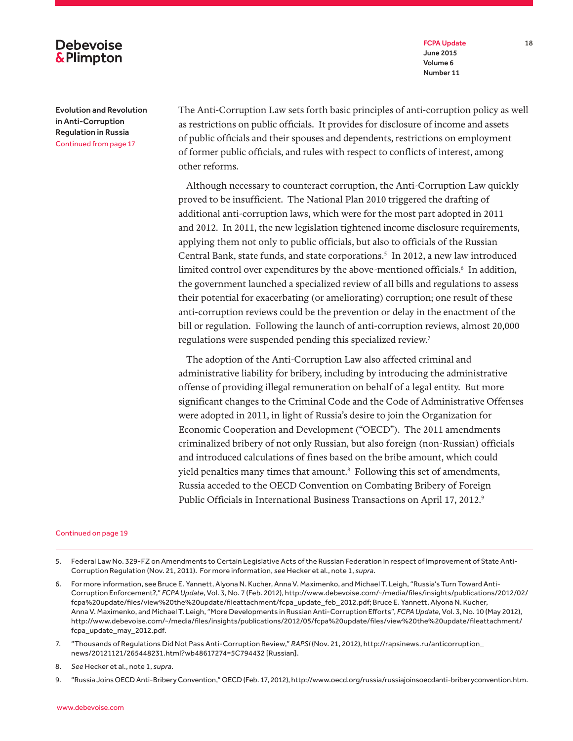FCPA Update 18 June 2015 Volume 6 Number 11

Evolution and Revolution in Anti-Corruption Regulation in Russia Continued from page 17

**Debevoise &Plimpton** 

> The Anti-Corruption Law sets forth basic principles of anti-corruption policy as well as restrictions on public officials. It provides for disclosure of income and assets of public officials and their spouses and dependents, restrictions on employment of former public officials, and rules with respect to conflicts of interest, among other reforms.

Although necessary to counteract corruption, the Anti-Corruption Law quickly proved to be insufficient. The National Plan 2010 triggered the drafting of additional anti-corruption laws, which were for the most part adopted in 2011 and 2012. In 2011, the new legislation tightened income disclosure requirements, applying them not only to public officials, but also to officials of the Russian Central Bank, state funds, and state corporations.<sup>5</sup> In 2012, a new law introduced limited control over expenditures by the above-mentioned officials.<sup>6</sup> In addition, the government launched a specialized review of all bills and regulations to assess their potential for exacerbating (or ameliorating) corruption; one result of these anti-corruption reviews could be the prevention or delay in the enactment of the bill or regulation. Following the launch of anti-corruption reviews, almost 20,000 regulations were suspended pending this specialized review.<sup>7</sup>

The adoption of the Anti-Corruption Law also affected criminal and administrative liability for bribery, including by introducing the administrative offense of providing illegal remuneration on behalf of a legal entity. But more significant changes to the Criminal Code and the Code of Administrative Offenses were adopted in 2011, in light of Russia's desire to join the Organization for Economic Cooperation and Development ("OECD"). The 2011 amendments criminalized bribery of not only Russian, but also foreign (non-Russian) officials and introduced calculations of fines based on the bribe amount, which could yield penalties many times that amount.<sup>8</sup> Following this set of amendments, Russia acceded to the OECD Convention on Combating Bribery of Foreign Public Officials in International Business Transactions on April 17, 2012.<sup>9</sup>

- 5. Federal Law No. 329-FZ on Amendments to Certain Legislative Acts of the Russian Federation in respect of Improvement of State Anti-Corruption Regulation (Nov. 21, 2011). For more information, *see* Hecker et al., note 1, *supra*.
- 6. For more information, see Bruce E. Yannett, Alyona N. Kucher, Anna V. Maximenko, and Michael T. Leigh, "Russia's Turn Toward Anti-Corruption Enforcement?," *FCPA Update*, Vol. 3, No. 7 (Feb. 2012), http://www.debevoise.com/~/media/files/insights/publications/2012/02/ fcpa%20update/files/view%20the%20update/fileattachment/fcpa\_update\_feb\_2012.pdf; Bruce E. Yannett, Alyona N. Kucher, Anna V. Maximenko, and Michael T. Leigh, "More Developments in Russian Anti-Corruption Efforts", *FCPA Update*, Vol. 3, No. 10 (May 2012), http://www.debevoise.com/~/media/files/insights/publications/2012/05/fcpa%20update/files/view%20the%20update/fileattachment/ fcpa\_update\_may\_2012.pdf.
- 7. "Thousands of Regulations Did Not Pass Anti-Corruption Review," *RAPSI* (Nov. 21, 2012), http://rapsinews.ru/anticorruption\_ news/20121121/265448231.html?wb48617274=5C794432 [Russian].
- 8. *See* Hecker et al., note 1, *supra*.

<sup>9.</sup> "Russia Joins OECD Anti-Bribery Convention," OECD (Feb. 17, 2012), http://www.oecd.org/russia/russiajoinsoecdanti-briberyconvention.htm.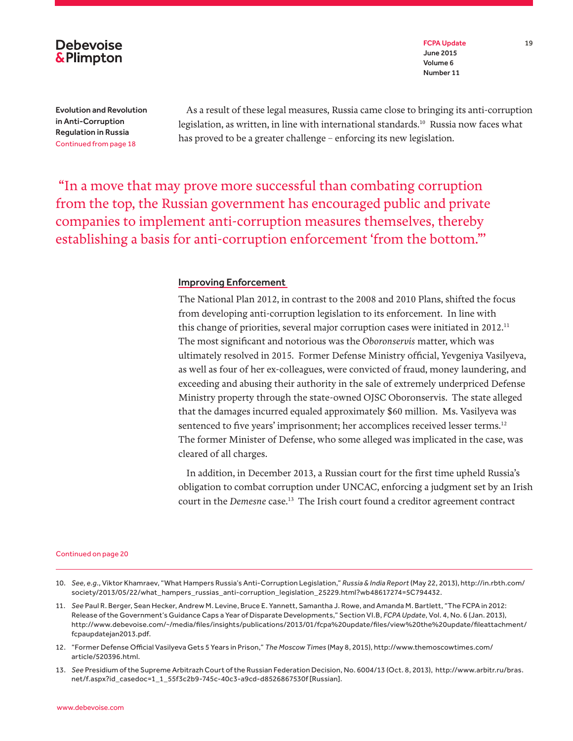

FCPA Update 19 June 2015 Volume 6 Number 11

Evolution and Revolution in Anti-Corruption Regulation in Russia Continued from page 18

As a result of these legal measures, Russia came close to bringing its anti-corruption legislation, as written, in line with international standards.<sup>10</sup> Russia now faces what has proved to be a greater challenge – enforcing its new legislation.

 "In a move that may prove more successful than combating corruption from the top, the Russian government has encouraged public and private companies to implement anti-corruption measures themselves, thereby establishing a basis for anti-corruption enforcement 'from the bottom."'

### Improving Enforcement

The National Plan 2012, in contrast to the 2008 and 2010 Plans, shifted the focus from developing anti-corruption legislation to its enforcement. In line with this change of priorities, several major corruption cases were initiated in 2012.<sup>11</sup> The most significant and notorious was the *Oboronservis* matter, which was ultimately resolved in 2015. Former Defense Ministry official, Yevgeniya Vasilyeva, as well as four of her ex-colleagues, were convicted of fraud, money laundering, and exceeding and abusing their authority in the sale of extremely underpriced Defense Ministry property through the state-owned OJSC Oboronservis. The state alleged that the damages incurred equaled approximately \$60 million. Ms. Vasilyeva was sentenced to five years' imprisonment; her accomplices received lesser terms.<sup>12</sup> The former Minister of Defense, who some alleged was implicated in the case, was cleared of all charges.

In addition, in December 2013, a Russian court for the first time upheld Russia's obligation to combat corruption under UNCAC, enforcing a judgment set by an Irish court in the *Demesne* case.<sup>13</sup> The Irish court found a creditor agreement contract

- 10. *See, e.g*., Viktor Khamraev, "What Hampers Russia's Anti-Corruption Legislation," *Russia & India Report* (May 22, 2013), http://in.rbth.com/ society/2013/05/22/what\_hampers\_russias\_anti-corruption\_legislation\_25229.html?wb48617274=5C794432.
- 11. *See* Paul R. Berger, Sean Hecker, Andrew M. Levine, Bruce E. Yannett, Samantha J. Rowe, and Amanda M. Bartlett, "The FCPA in 2012: Release of the Government's Guidance Caps a Year of Disparate Developments," Section VI.B, *FCPA Update*, Vol. 4, No. 6 (Jan. 2013), http://www.debevoise.com/~/media/files/insights/publications/2013/01/fcpa%20update/files/view%20the%20update/fileattachment/ fcpaupdatejan2013.pdf.
- 12. "Former Defense Official Vasilyeva Gets 5 Years in Prison," *The Moscow Times* (May 8, 2015), http://www.themoscowtimes.com/ article/520396.html.
- 13. *See* Presidium of the Supreme Arbitrazh Court of the Russian Federation Decision, No. 6004/13 (Oct. 8, 2013), http://www.arbitr.ru/bras. net/f.aspx?id\_casedoc=1\_1\_55f3c2b9-745c-40c3-a9cd-d8526867530f [Russian].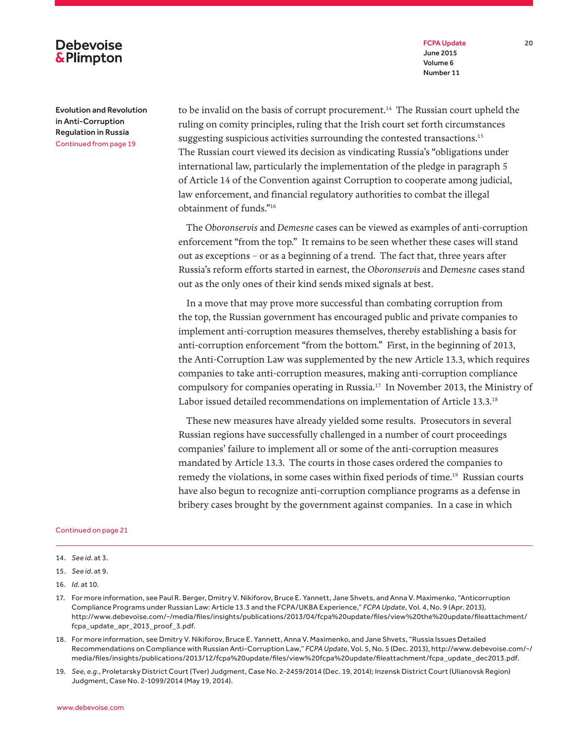FCPA Update 20 June 2015 Volume 6 Number 11

## **Debevoise &Plimpton**

Evolution and Revolution in Anti-Corruption Regulation in Russia Continued from page 19

to be invalid on the basis of corrupt procurement.<sup>14</sup> The Russian court upheld the ruling on comity principles, ruling that the Irish court set forth circumstances suggesting suspicious activities surrounding the contested transactions.<sup>15</sup> The Russian court viewed its decision as vindicating Russia's "obligations under international law, particularly the implementation of the pledge in paragraph 5 of Article 14 of the Convention against Corruption to cooperate among judicial, law enforcement, and financial regulatory authorities to combat the illegal obtainment of funds."16

The *Oboronservis* and *Demesne* cases can be viewed as examples of anti-corruption enforcement "from the top." It remains to be seen whether these cases will stand out as exceptions – or as a beginning of a trend. The fact that, three years after Russia's reform efforts started in earnest, the *Oboronservis* and *Demesne* cases stand out as the only ones of their kind sends mixed signals at best.

In a move that may prove more successful than combating corruption from the top, the Russian government has encouraged public and private companies to implement anti-corruption measures themselves, thereby establishing a basis for anti-corruption enforcement "from the bottom." First, in the beginning of 2013, the Anti-Corruption Law was supplemented by the new Article 13.3, which requires companies to take anti-corruption measures, making anti-corruption compliance compulsory for companies operating in Russia.17 In November 2013, the Ministry of Labor issued detailed recommendations on implementation of Article 13.3.18

These new measures have already yielded some results. Prosecutors in several Russian regions have successfully challenged in a number of court proceedings companies' failure to implement all or some of the anti-corruption measures mandated by Article 13.3. The courts in those cases ordered the companies to remedy the violations, in some cases within fixed periods of time.<sup>19</sup> Russian courts have also begun to recognize anti-corruption compliance programs as a defense in bribery cases brought by the government against companies. In a case in which

- 15. *See id*. at 9.
- 16. *Id*. at 10.
- 17. For more information, see Paul R. Berger, Dmitry V. Nikiforov, Bruce E. Yannett, Jane Shvets, and Anna V. Maximenko, "Anticorruption Compliance Programs under Russian Law: Article 13.3 and the FCPA/UKBA Experience," *FCPA Update*, Vol. 4, No. 9 (Apr. 2013), http://www.debevoise.com/~/media/files/insights/publications/2013/04/fcpa%20update/files/view%20the%20update/fileattachment/ fcpa\_update\_apr\_2013\_proof\_3.pdf.
- 18. For more information, see Dmitry V. Nikiforov, Bruce E. Yannett, Anna V. Maximenko, and Jane Shvets, "Russia Issues Detailed Recommendations on Compliance with Russian Anti-Corruption Law," *FCPA Update*, Vol. 5, No. 5 (Dec. 2013), http://www.debevoise.com/~/ media/files/insights/publications/2013/12/fcpa%20update/files/view%20fcpa%20update/fileattachment/fcpa\_update\_dec2013.pdf.
- 19. *See, e.g*., Proletarsky District Court (Tver) Judgment, Case No. 2-2459/2014 (Dec. 19, 2014); Inzensk District Court (Ulianovsk Region) Judgment, Case No. 2-1099/2014 (May 19, 2014).

<sup>14.</sup> *See id*. at 3.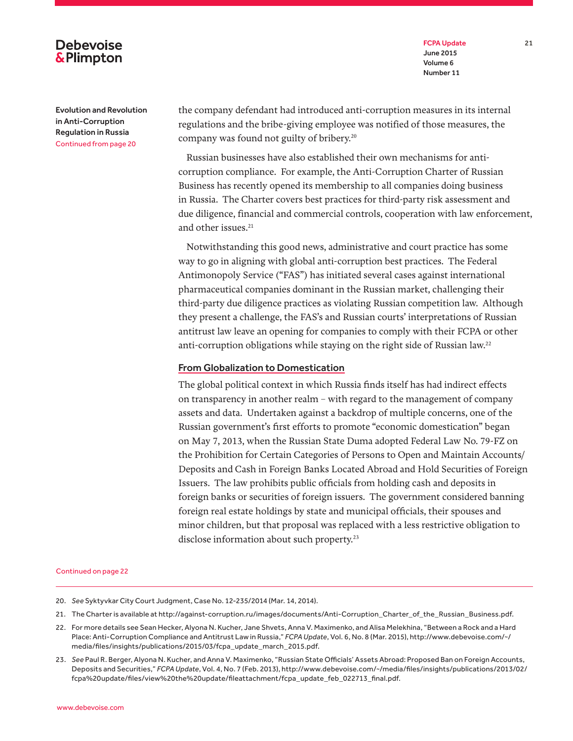FCPA Update 21 June 2015 Volume 6 Number 11

## **Debevoise &Plimpton**

Evolution and Revolution in Anti-Corruption Regulation in Russia Continued from page 20

the company defendant had introduced anti-corruption measures in its internal regulations and the bribe-giving employee was notified of those measures, the company was found not guilty of bribery.<sup>20</sup>

Russian businesses have also established their own mechanisms for anticorruption compliance. For example, the Anti-Corruption Charter of Russian Business has recently opened its membership to all companies doing business in Russia. The Charter covers best practices for third-party risk assessment and due diligence, financial and commercial controls, cooperation with law enforcement, and other issues.<sup>21</sup>

Notwithstanding this good news, administrative and court practice has some way to go in aligning with global anti-corruption best practices. The Federal Antimonopoly Service ("FAS") has initiated several cases against international pharmaceutical companies dominant in the Russian market, challenging their third-party due diligence practices as violating Russian competition law. Although they present a challenge, the FAS's and Russian courts' interpretations of Russian antitrust law leave an opening for companies to comply with their FCPA or other anti-corruption obligations while staying on the right side of Russian law.<sup>22</sup>

### From Globalization to Domestication

The global political context in which Russia finds itself has had indirect effects on transparency in another realm – with regard to the management of company assets and data. Undertaken against a backdrop of multiple concerns, one of the Russian government's first efforts to promote "economic domestication" began on May 7, 2013, when the Russian State Duma adopted Federal Law No. 79-FZ on the Prohibition for Certain Categories of Persons to Open and Maintain Accounts/ Deposits and Cash in Foreign Banks Located Abroad and Hold Securities of Foreign Issuers. The law prohibits public officials from holding cash and deposits in foreign banks or securities of foreign issuers. The government considered banning foreign real estate holdings by state and municipal officials, their spouses and minor children, but that proposal was replaced with a less restrictive obligation to disclose information about such property.<sup>23</sup>

- 20. *See* Syktyvkar City Court Judgment, Case No. 12-235/2014 (Mar. 14, 2014).
- 21. The Charter is available at http://against-corruption.ru/images/documents/Anti-Corruption\_Charter\_of\_the\_Russian\_Business.pdf.
- 22. For more details see Sean Hecker, Alyona N. Kucher, Jane Shvets, Anna V. Maximenko, and Alisa Melekhina, "Between a Rock and a Hard Place: Anti-Corruption Compliance and Antitrust Law in Russia," *FCPA Update*, Vol. 6, No. 8 (Mar. 2015), http://www.debevoise.com/~/ media/files/insights/publications/2015/03/fcpa\_update\_march\_2015.pdf.
- 23. *See* Paul R. Berger, Alyona N. Kucher, and Anna V. Maximenko, "Russian State Officials' Assets Abroad: Proposed Ban on Foreign Accounts, Deposits and Securities," *FCPA Update*, Vol. 4, No. 7 (Feb. 2013), http://www.debevoise.com/~/media/files/insights/publications/2013/02/ fcpa%20update/files/view%20the%20update/fileattachment/fcpa\_update\_feb\_022713\_final.pdf.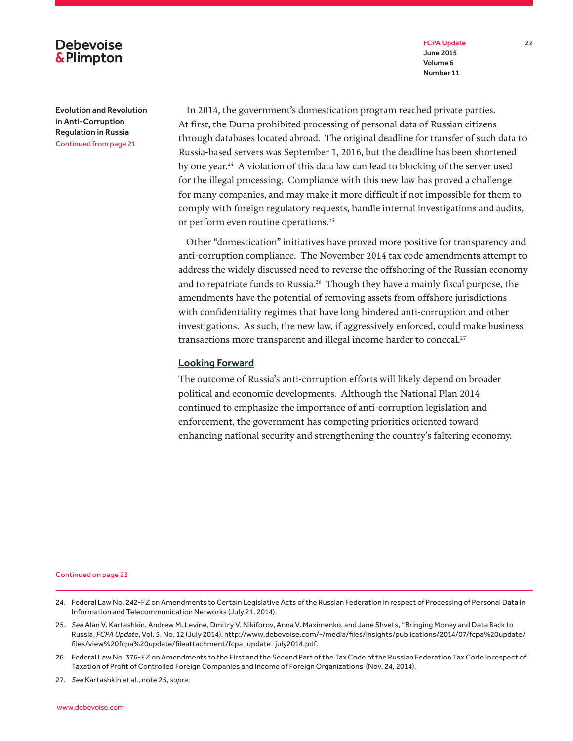FCPA Update 22 June 2015 Volume 6 Number 11

## **Debevoise &Plimpton**

Evolution and Revolution in Anti-Corruption Regulation in Russia Continued from page 21

In 2014, the government's domestication program reached private parties. At first, the Duma prohibited processing of personal data of Russian citizens through databases located abroad. The original deadline for transfer of such data to Russia-based servers was September 1, 2016, but the deadline has been shortened by one year.24 A violation of this data law can lead to blocking of the server used for the illegal processing. Compliance with this new law has proved a challenge for many companies, and may make it more difficult if not impossible for them to comply with foreign regulatory requests, handle internal investigations and audits, or perform even routine operations.25

Other "domestication" initiatives have proved more positive for transparency and anti-corruption compliance. The November 2014 tax code amendments attempt to address the widely discussed need to reverse the offshoring of the Russian economy and to repatriate funds to Russia.<sup>26</sup> Though they have a mainly fiscal purpose, the amendments have the potential of removing assets from offshore jurisdictions with confidentiality regimes that have long hindered anti-corruption and other investigations. As such, the new law, if aggressively enforced, could make business transactions more transparent and illegal income harder to conceal.<sup>27</sup>

### Looking Forward

The outcome of Russia's anti-corruption efforts will likely depend on broader political and economic developments. Although the National Plan 2014 continued to emphasize the importance of anti-corruption legislation and enforcement, the government has competing priorities oriented toward enhancing national security and strengthening the country's faltering economy.

Continued on page 23

- 25. *See* Alan V. Kartashkin, Andrew M. Levine, Dmitry V. Nikiforov, Anna V. Maximenko, and Jane Shvets, "Bringing Money and Data Back to Russia, *FCPA Update*, Vol. 5, No. 12 (July 2014), http://www.debevoise.com/~/media/files/insights/publications/2014/07/fcpa%20update/ files/view%20fcpa%20update/fileattachment/fcpa\_update\_ july2014.pdf.
- 26. Federal Law No. 376-FZ on Amendments to the First and the Second Part of the Tax Code of the Russian Federation Tax Code in respect of Taxation of Profit of Controlled Foreign Companies and Income of Foreign Organizations (Nov. 24, 2014).

27. *See* Kartashkin et al., note 25, *supra*.

<sup>24.</sup> Federal Law No. 242-FZ on Amendments to Certain Legislative Acts of the Russian Federation in respect of Processing of Personal Data in Information and Telecommunication Networks (July 21, 2014).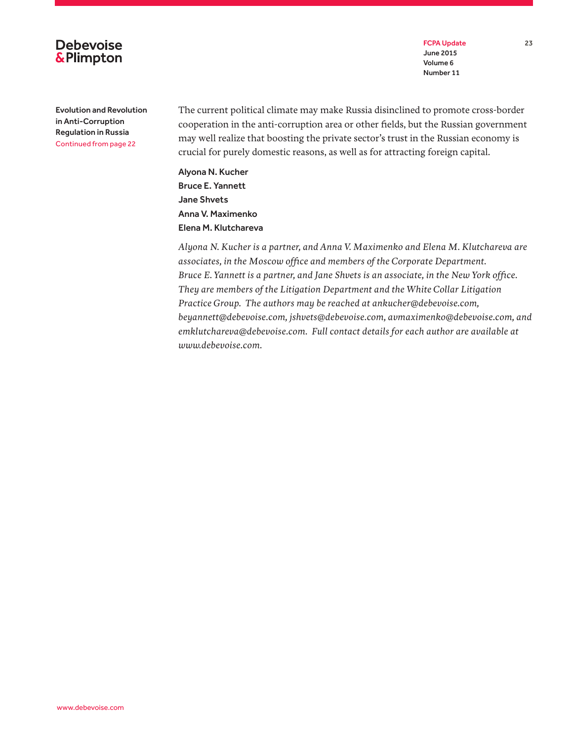

FCPA Update 23 June 2015 Volume 6 Number 11

Evolution and Revolution in Anti-Corruption Regulation in Russia Continued from page 22

The current political climate may make Russia disinclined to promote cross-border cooperation in the anti-corruption area or other fields, but the Russian government may well realize that boosting the private sector's trust in the Russian economy is crucial for purely domestic reasons, as well as for attracting foreign capital.

Alyona N. Kucher Bruce E. Yannett Jane Shvets Anna V. Maximenko Elena M. Klutchareva

*Alyona N. Kucher is a partner, and Anna V. Maximenko and Elena M. Klutchareva are associates, in the Moscow office and members of the Corporate Department. Bruce E. Yannett is a partner, and Jane Shvets is an associate, in the New York office. They are members of the Litigation Department and the White Collar Litigation Practice Group. The authors may be reached at ankucher@debevoise.com, beyannett@debevoise.com, jshvets@debevoise.com, avmaximenko@debevoise.com, and emklutchareva@debevoise.com. Full contact details for each author are available at www.debevoise.com.*